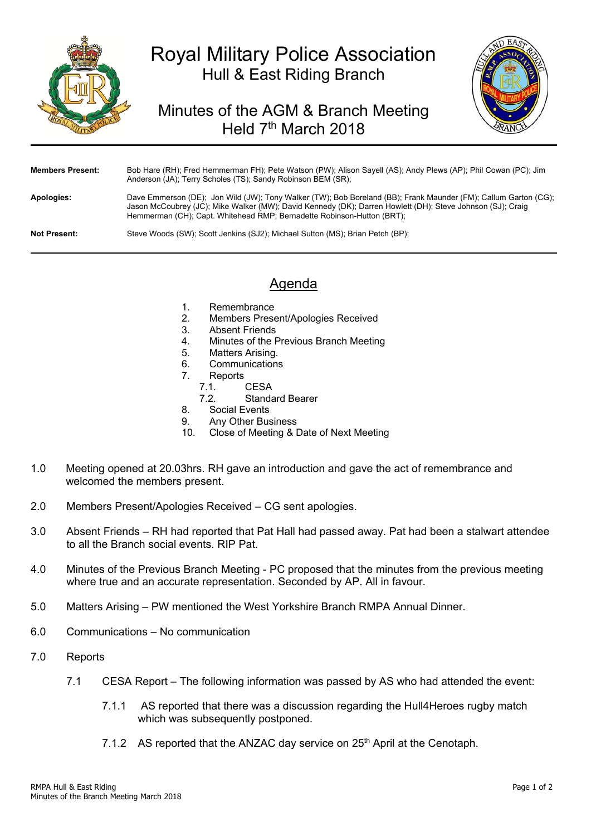

## Royal Military Police Association Hull & East Riding Branch

## Minutes of the AGM & Branch Meeting Held 7<sup>th</sup> March 2018



| <b>Members Present:</b> | Bob Hare (RH); Fred Hemmerman FH); Pete Watson (PW); Alison Sayell (AS); Andy Plews (AP); Phil Cowan (PC); Jim<br>Anderson (JA); Terry Scholes (TS); Sandy Robinson BEM (SR);                                                                                                                           |
|-------------------------|---------------------------------------------------------------------------------------------------------------------------------------------------------------------------------------------------------------------------------------------------------------------------------------------------------|
| Apologies:              | Dave Emmerson (DE); Jon Wild (JW); Tony Walker (TW); Bob Boreland (BB); Frank Maunder (FM); Callum Garton (CG);<br>Jason McCoubrey (JC); Mike Walker (MW); David Kennedy (DK); Darren Howlett (DH); Steve Johnson (SJ); Craig<br>Hemmerman (CH); Capt. Whitehead RMP; Bernadette Robinson-Hutton (BRT); |
| <b>Not Present:</b>     | Steve Woods (SW); Scott Jenkins (SJ2); Michael Sutton (MS); Brian Petch (BP);                                                                                                                                                                                                                           |

## Agenda

- 1. Remembrance
- 2. Members Present/Apologies Received
- 3. Absent Friends
- 4. Minutes of the Previous Branch Meeting
- 5. Matters Arising.
- 6. Communications
- 7. Reports
	- 7.1. CESA
	- 7.2. Standard Bearer
- 8. Social Events
- 9. Any Other Business<br>10 Close of Meeting & D
- Close of Meeting & Date of Next Meeting
- 1.0 Meeting opened at 20.03hrs. RH gave an introduction and gave the act of remembrance and welcomed the members present.
- 2.0 Members Present/Apologies Received CG sent apologies.
- 3.0 Absent Friends RH had reported that Pat Hall had passed away. Pat had been a stalwart attendee to all the Branch social events. RIP Pat.
- 4.0 Minutes of the Previous Branch Meeting PC proposed that the minutes from the previous meeting where true and an accurate representation. Seconded by AP. All in favour.
- 5.0 Matters Arising PW mentioned the West Yorkshire Branch RMPA Annual Dinner.
- 6.0 Communications No communication
- 7.0 Reports
	- 7.1 CESA Report The following information was passed by AS who had attended the event:
		- 7.1.1 AS reported that there was a discussion regarding the Hull4Heroes rugby match which was subsequently postponed.
		- 7.1.2 AS reported that the ANZAC day service on  $25<sup>th</sup>$  April at the Cenotaph.